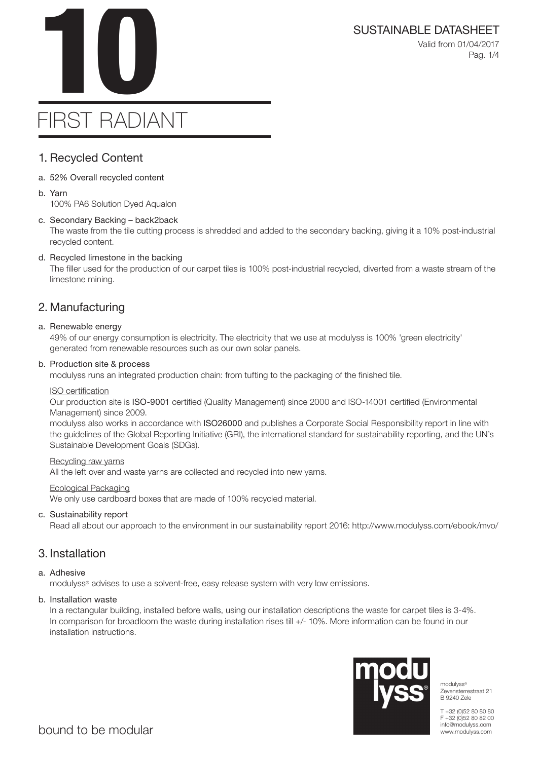SUSTAINABLE DATASHEET<br>Valid from 01/04/2017<br>Pag. 1/4 Valid from 01/04/2017 Pag. 1/4

# FIRST RADIANT

### 1. Recycled Content

- a. 52% Overall recycled content
- b. Yarn

100% PA6 Solution Dyed Aqualon

### c. Secondary Backing – back2back

The waste from the tile cutting process is shredded and added to the secondary backing, giving it a 10% post-industrial recycled content.

### d. Recycled limestone in the backing

The filler used for the production of our carpet tiles is 100% post-industrial recycled, diverted from a waste stream of the limestone mining.

### 2. Manufacturing

#### a. Renewable energy

49% of our energy consumption is electricity. The electricity that we use at modulyss is 100% 'green electricity' generated from renewable resources such as our own solar panels.

### b. Production site & process

modulyss runs an integrated production chain: from tufting to the packaging of the finished tile.

### ISO certification

Our production site is ISO-9001 certified (Quality Management) since 2000 and ISO-14001 certified (Environmental Management) since 2009.

modulyss also works in accordance with ISO26000 and publishes a Corporate Social Responsibility report in line with the guidelines of the Global Reporting Initiative (GRI), the international standard for sustainability reporting, and the UN's Sustainable Development Goals (SDGs).

#### Recycling raw yarns

All the left over and waste yarns are collected and recycled into new yarns.

#### Ecological Packaging

We only use cardboard boxes that are made of 100% recycled material.

### c. Sustainability report

Read all about our approach to the environment in our sustainability report 2016: http://www.modulyss.com/ebook/mvo/

### 3. Installation

### a. Adhesive

modulyss® advises to use a solvent-free, easy release system with very low emissions.

### b. Installation waste

In a rectangular building, installed before walls, using our installation descriptions the waste for carpet tiles is 3-4%. In comparison for broadloom the waste during installation rises till +/- 10%. More information can be found in our installation instructions.



modulyss® Zevensterrestraat 21 B 9240 Zele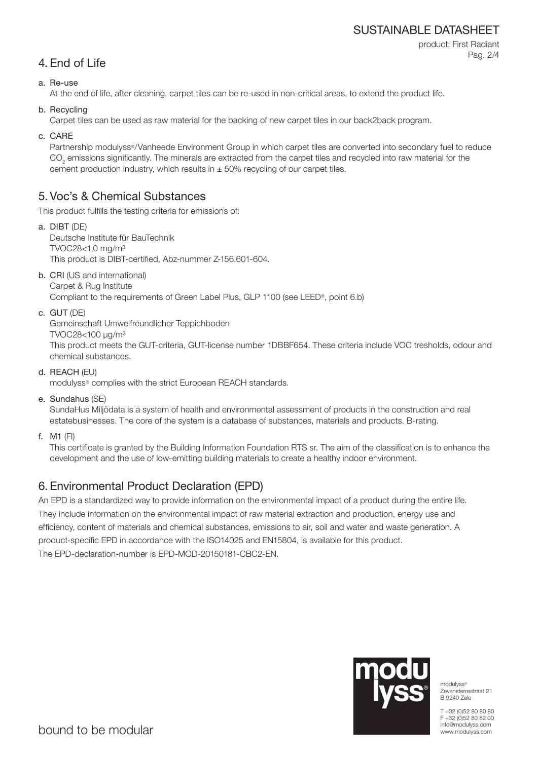### SUSTAINABLE DATASHEET

product: First Radiant Pag. 2/4

### 4. End of Life

### a. Re-use

At the end of life, after cleaning, carpet tiles can be re-used in non-critical areas, to extend the product life.

b. Recycling

Carpet tiles can be used as raw material for the backing of new carpet tiles in our back2back program.

c. CARE

Partnership modulyss®/Vanheede Environment Group in which carpet tiles are converted into secondary fuel to reduce  $\mathrm{CO}_2$  emissions significantly. The minerals are extracted from the carpet tiles and recycled into raw material for the cement production industry, which results in  $\pm$  50% recycling of our carpet tiles.

### 5. Voc's & Chemical Substances

This product fulfills the testing criteria for emissions of:

- a. DIBT (DE) Deutsche Institute für BauTechnik TVOC28<1,0 mg/m³ This product is DIBT-certified, Abz-nummer Z-156.601-604.
- b. CRI (US and international) Carpet & Rug Institute

Compliant to the requirements of Green Label Plus, GLP 1100 (see LEED®, point 6.b)

c. GUT (DE)

Gemeinschaft Umwelfreundlicher Teppichboden

TVOC28<100 μg/m³

This product meets the GUT-criteria, GUT-license number 1DBBF654. These criteria include VOC tresholds, odour and chemical substances.

d. REACH (EU)

modulyss® complies with the strict European REACH standards.

e. Sundahus (SE)

SundaHus Miljödata is a system of health and environmental assessment of products in the construction and real estatebusinesses. The core of the system is a database of substances, materials and products. B-rating.

f. M1 (FI)

This certificate is granted by the Building Information Foundation RTS sr. The aim of the classification is to enhance the development and the use of low-emitting building materials to create a healthy indoor environment.

## 6. Environmental Product Declaration (EPD)

An EPD is a standardized way to provide information on the environmental impact of a product during the entire life. They include information on the environmental impact of raw material extraction and production, energy use and efficiency, content of materials and chemical substances, emissions to air, soil and water and waste generation. A product-specific EPD in accordance with the ISO14025 and EN15804, is available for this product. The EPD-declaration-number is EPD-MOD-20150181-CBC2-EN.



modulyss® Zevensterrestraat 21 B 9240 Zele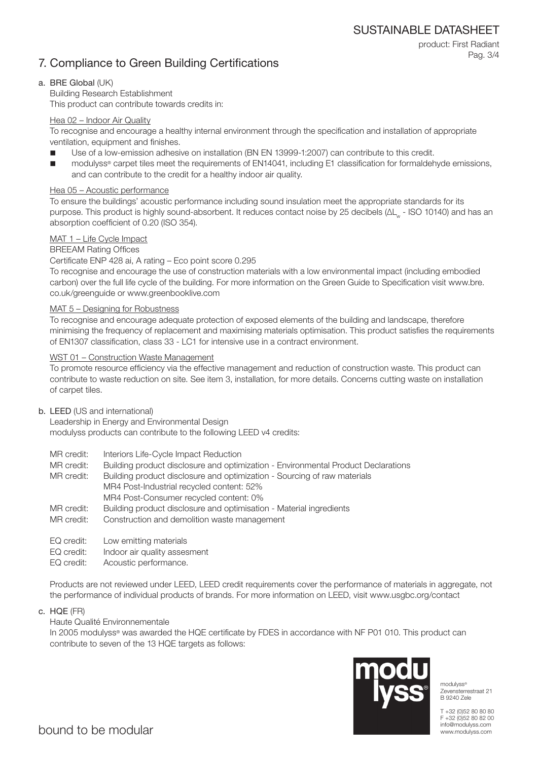SUSTAINABLE DATASHEET

### 7. Compliance to Green Building Certifications

product: First Radiant Pag. 3/4

### a. BRE Global (UK)

Building Research Establishment This product can contribute towards credits in:

### Hea 02 – Indoor Air Quality

To recognise and encourage a healthy internal environment through the specification and installation of appropriate ventilation, equipment and finishes.

- Use of a low-emission adhesive on installation (BN EN 13999-1:2007) can contribute to this credit.
- modulyss® carpet tiles meet the requirements of EN14041, including E1 classification for formaldehyde emissions, and can contribute to the credit for a healthy indoor air quality.

### Hea 05 – Acoustic performance

To ensure the buildings' acoustic performance including sound insulation meet the appropriate standards for its purpose. This product is highly sound-absorbent. It reduces contact noise by 25 decibels (ΔL<sub>w</sub> - ISO 10140) and has an absorption coefficient of 0.20 (ISO 354).

### MAT 1 – Life Cycle Impact

### BREEAM Rating Offices

### Certificate ENP 428 ai, A rating – Eco point score 0.295

To recognise and encourage the use of construction materials with a low environmental impact (including embodied carbon) over the full life cycle of the building. For more information on the Green Guide to Specification visit www.bre. co.uk/greenguide or www.greenbooklive.com

### MAT 5 – Designing for Robustness

To recognise and encourage adequate protection of exposed elements of the building and landscape, therefore minimising the frequency of replacement and maximising materials optimisation. This product satisfies the requirements of EN1307 classification, class 33 - LC1 for intensive use in a contract environment.

### WST 01 – Construction Waste Management

To promote resource efficiency via the effective management and reduction of construction waste. This product can contribute to waste reduction on site. See item 3, installation, for more details. Concerns cutting waste on installation of carpet tiles.

### b. LEED (US and international)

Leadership in Energy and Environmental Design modulyss products can contribute to the following LEED v4 credits:

- MR credit: Interiors Life-Cycle Impact Reduction
- MR credit: Building product disclosure and optimization Environmental Product Declarations

MR credit: Building product disclosure and optimization - Sourcing of raw materials MR4 Post-Industrial recycled content: 52% MR4 Post-Consumer recycled content: 0%

- MR credit: Building product disclosure and optimisation Material ingredients
- MR credit: Construction and demolition waste management
- EQ credit: Low emitting materials
- EQ credit: Indoor air quality assesment
- EQ credit: Acoustic performance.

Products are not reviewed under LEED, LEED credit requirements cover the performance of materials in aggregate, not the performance of individual products of brands. For more information on LEED, visit www.usgbc.org/contact

c. HQE (FR)

### Haute Qualité Environnementale

In 2005 modulyss® was awarded the HQE certificate by FDES in accordance with NF P01 010. This product can contribute to seven of the 13 HQE targets as follows:



modulyss® Zevensterrestraat 21 B 9240 Zele